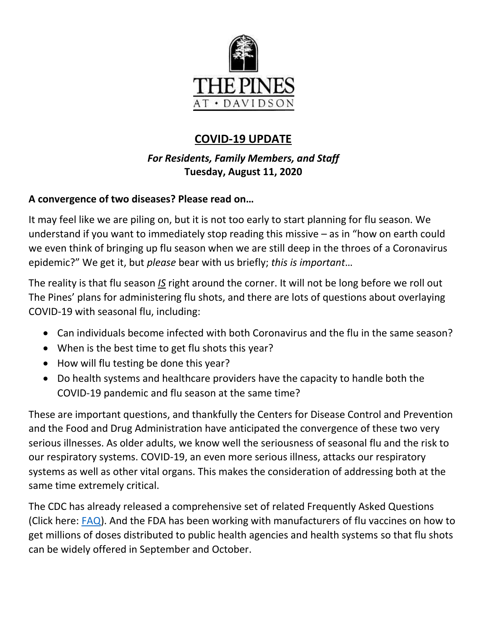

# **COVID-19 UPDATE**

## *For Residents, Family Members, and Staff* **Tuesday, August 11, 2020**

### **A convergence of two diseases? Please read on…**

It may feel like we are piling on, but it is not too early to start planning for flu season. We understand if you want to immediately stop reading this missive – as in "how on earth could we even think of bringing up flu season when we are still deep in the throes of a Coronavirus epidemic?" We get it, but *please* bear with us briefly; *this is important*…

The reality is that flu season *IS* right around the corner. It will not be long before we roll out The Pines' plans for administering flu shots, and there are lots of questions about overlaying COVID-19 with seasonal flu, including:

- Can individuals become infected with both Coronavirus and the flu in the same season?
- When is the best time to get flu shots this year?
- How will flu testing be done this year?
- Do health systems and healthcare providers have the capacity to handle both the COVID-19 pandemic and flu season at the same time?

These are important questions, and thankfully the Centers for Disease Control and Prevention and the Food and Drug Administration have anticipated the convergence of these two very serious illnesses. As older adults, we know well the seriousness of seasonal flu and the risk to our respiratory systems. COVID-19, an even more serious illness, attacks our respiratory systems as well as other vital organs. This makes the consideration of addressing both at the same time extremely critical.

The CDC has already released a comprehensive set of related Frequently Asked Questions (Click here: [FAQ\)](https://www.cdc.gov/flu/season/faq-flu-season-2020-2021.htm). And the FDA has been working with manufacturers of flu vaccines on how to get millions of doses distributed to public health agencies and health systems so that flu shots can be widely offered in September and October.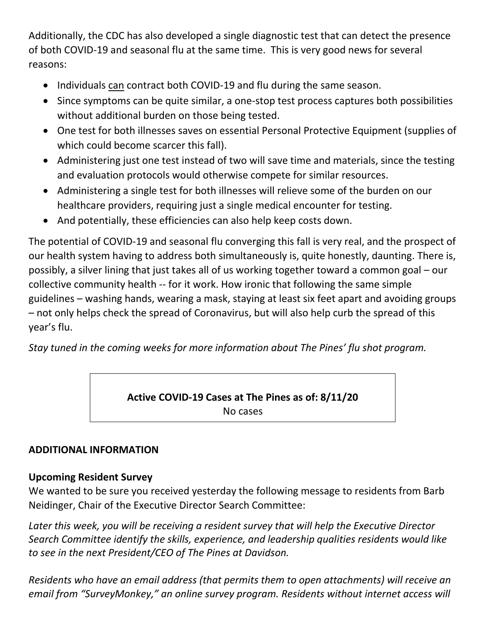Additionally, the CDC has also developed a single diagnostic test that can detect the presence of both COVID-19 and seasonal flu at the same time. This is very good news for several reasons:

- Individuals can contract both COVID-19 and flu during the same season.
- Since symptoms can be quite similar, a one-stop test process captures both possibilities without additional burden on those being tested.
- One test for both illnesses saves on essential Personal Protective Equipment (supplies of which could become scarcer this fall).
- Administering just one test instead of two will save time and materials, since the testing and evaluation protocols would otherwise compete for similar resources.
- Administering a single test for both illnesses will relieve some of the burden on our healthcare providers, requiring just a single medical encounter for testing.
- And potentially, these efficiencies can also help keep costs down.

The potential of COVID-19 and seasonal flu converging this fall is very real, and the prospect of our health system having to address both simultaneously is, quite honestly, daunting. There is, possibly, a silver lining that just takes all of us working together toward a common goal – our collective community health -- for it work. How ironic that following the same simple guidelines – washing hands, wearing a mask, staying at least six feet apart and avoiding groups – not only helps check the spread of Coronavirus, but will also help curb the spread of this year's flu.

*Stay tuned in the coming weeks for more information about The Pines' flu shot program.*

**Active COVID-19 Cases at The Pines as of: 8/11/20** No cases

#### **ADDITIONAL INFORMATION**

#### **Upcoming Resident Survey**

We wanted to be sure you received yesterday the following message to residents from Barb Neidinger, Chair of the Executive Director Search Committee:

*Later this week, you will be receiving a resident survey that will help the Executive Director Search Committee identify the skills, experience, and leadership qualities residents would like to see in the next President/CEO of The Pines at Davidson.* 

*Residents who have an email address (that permits them to open attachments) will receive an email from "SurveyMonkey," an online survey program. Residents without internet access will*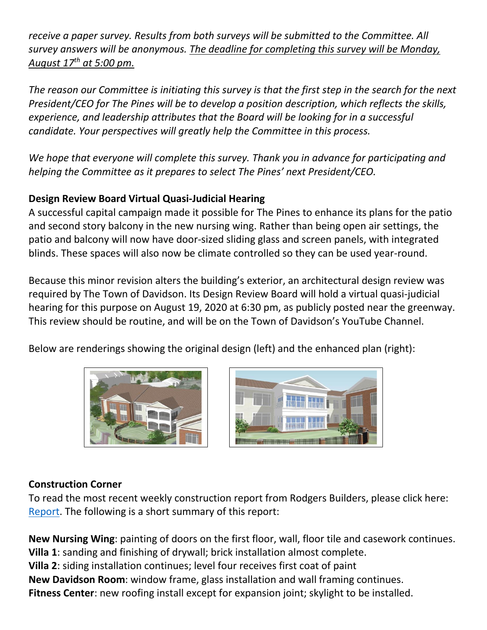*receive a paper survey. Results from both surveys will be submitted to the Committee. All survey answers will be anonymous. The deadline for completing this survey will be Monday, August 17th at 5:00 pm.*

*The reason our Committee is initiating this survey is that the first step in the search for the next President/CEO for The Pines will be to develop a position description, which reflects the skills, experience, and leadership attributes that the Board will be looking for in a successful candidate. Your perspectives will greatly help the Committee in this process.* 

*We hope that everyone will complete this survey. Thank you in advance for participating and helping the Committee as it prepares to select The Pines' next President/CEO.* 

### **Design Review Board Virtual Quasi-Judicial Hearing**

A successful capital campaign made it possible for The Pines to enhance its plans for the patio and second story balcony in the new nursing wing. Rather than being open air settings, the patio and balcony will now have door-sized sliding glass and screen panels, with integrated blinds. These spaces will also now be climate controlled so they can be used year-round.

Because this minor revision alters the building's exterior, an architectural design review was required by The Town of Davidson. Its Design Review Board will hold a virtual quasi-judicial hearing for this purpose on August 19, 2020 at 6:30 pm, as publicly posted near the greenway. This review should be routine, and will be on the Town of Davidson's YouTube Channel.

Below are renderings showing the original design (left) and the enhanced plan (right):





#### **Construction Corner**

To read the most recent weekly construction report from Rodgers Builders, please click here: [Report.](https://www.mycommunity-center.com/filephotos/463/2020-08-07%20Weekly%20Update.pdf) The following is a short summary of this report:

**New Nursing Wing**: painting of doors on the first floor, wall, floor tile and casework continues. **Villa 1**: sanding and finishing of drywall; brick installation almost complete. **Villa 2**: siding installation continues; level four receives first coat of paint **New Davidson Room**: window frame, glass installation and wall framing continues. **Fitness Center**: new roofing install except for expansion joint; skylight to be installed.